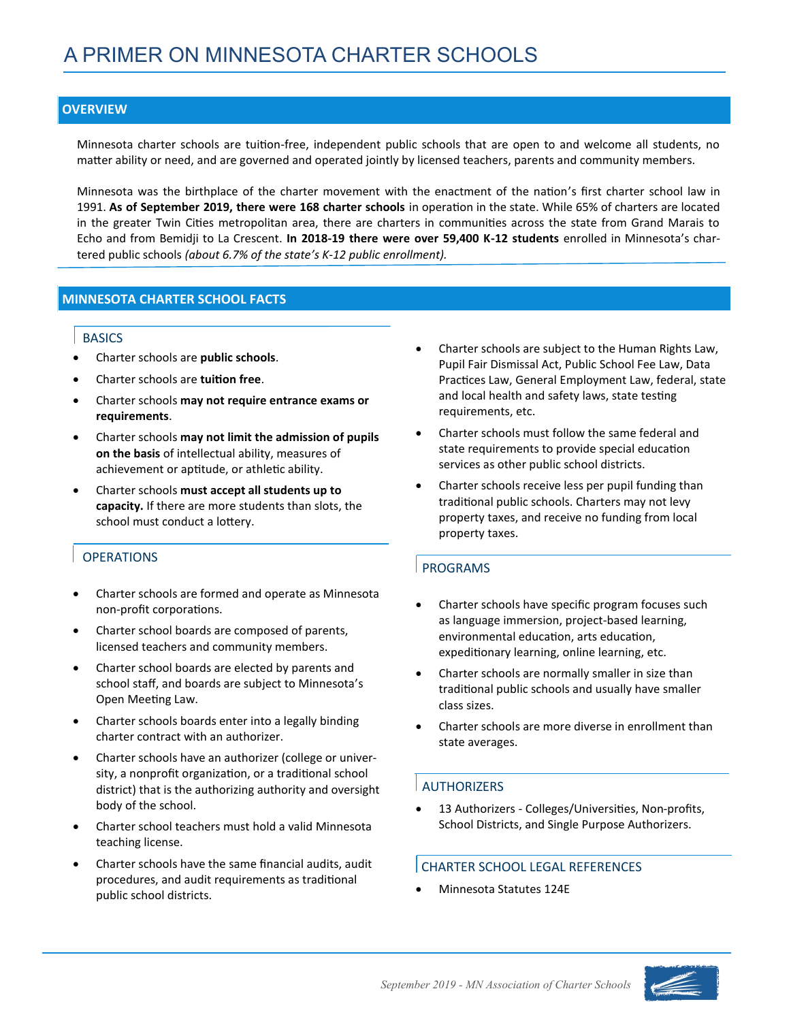## **OVERVIEW**

Minnesota charter schools are tuition‐free, independent public schools that are open to and welcome all students, no matter ability or need, and are governed and operated jointly by licensed teachers, parents and community members.

Minnesota was the birthplace of the charter movement with the enactment of the nation's first charter school law in 1991. **As of September 2019, there were 168 charter schools** in operation in the state. While 65% of charters are located in the greater Twin Cities metropolitan area, there are charters in communities across the state from Grand Marais to Echo and from Bemidji to La Crescent. **In 2018-19 there were over 59,400 K-12 students** enrolled in Minnesota's chartered public schools *(about 6.7% of the state's K-12 public enrollment).* 

## **MINNESOTA CHARTER SCHOOL FACTS**

### **BASICS**

- Charter schools are **public schools**.
- Charter schools are **tuition free**.
- Charter schools **may not require entrance exams or requirements**.
- Charter schools **may not limit the admission of pupils on the basis** of intellectual ability, measures of achievement or aptitude, or athletic ability.
- Charter schools **must accept all students up to capacity.** If there are more students than slots, the school must conduct a lottery.

# OPERATIONS

- Charter schools are formed and operate as Minnesota non‐profit corporations.
- Charter school boards are composed of parents, licensed teachers and community members.
- Charter school boards are elected by parents and school staff, and boards are subject to Minnesota's Open Meeting Law.
- Charter schools boards enter into a legally binding charter contract with an authorizer.
- Charter schools have an authorizer (college or university, a nonprofit organization, or a traditional school district) that is the authorizing authority and oversight body of the school.
- Charter school teachers must hold a valid Minnesota teaching license.
- Charter schools have the same financial audits, audit procedures, and audit requirements as traditional public school districts.
- Charter schools are subject to the Human Rights Law, Pupil Fair Dismissal Act, Public School Fee Law, Data Practices Law, General Employment Law, federal, state and local health and safety laws, state testing requirements, etc.
- Charter schools must follow the same federal and state requirements to provide special education services as other public school districts.
- Charter schools receive less per pupil funding than traditional public schools. Charters may not levy property taxes, and receive no funding from local property taxes.

# PROGRAMS

- Charter schools have specific program focuses such as language immersion, project‐based learning, environmental education, arts education, expeditionary learning, online learning, etc.
- Charter schools are normally smaller in size than traditional public schools and usually have smaller class sizes.
- Charter schools are more diverse in enrollment than state averages.

# AUTHORIZERS

• 13 Authorizers - Colleges/Universities, Non-profits, School Districts, and Single Purpose Authorizers.

## CHARTER SCHOOL LEGAL REFERENCES

• Minnesota Statutes 124E